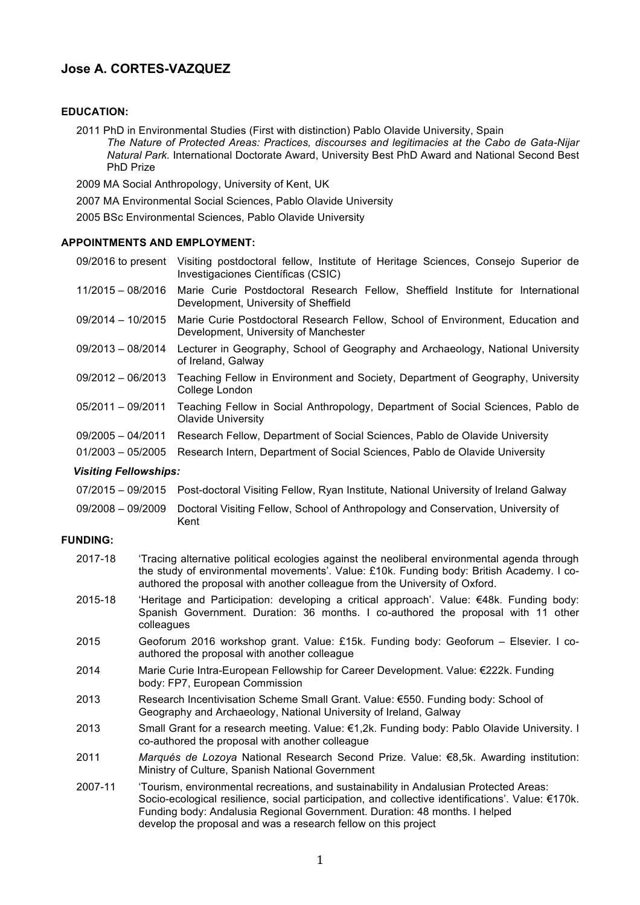# **Jose A. CORTES-VAZQUEZ**

# **EDUCATION:**

2011 PhD in Environmental Studies (First with distinction) Pablo Olavide University, Spain *The Nature of Protected Areas: Practices, discourses and legitimacies at the Cabo de Gata-Nijar Natural Park.* International Doctorate Award, University Best PhD Award and National Second Best PhD Prize

2009 MA Social Anthropology, University of Kent, UK

2007 MA Environmental Social Sciences, Pablo Olavide University

2005 BSc Environmental Sciences, Pablo Olavide University

# **APPOINTMENTS AND EMPLOYMENT:**

09/2016 to present Visiting postdoctoral fellow, Institute of Heritage Sciences, Consejo Superior de Investigaciones Científicas (CSIC)

- 11/2015 08/2016 Marie Curie Postdoctoral Research Fellow, Sheffield Institute for International Development, University of Sheffield
- 09/2014 10/2015 Marie Curie Postdoctoral Research Fellow, School of Environment, Education and Development, University of Manchester
- 09/2013 08/2014 Lecturer in Geography, School of Geography and Archaeology, National University of Ireland, Galway
- 09/2012 06/2013 Teaching Fellow in Environment and Society, Department of Geography, University College London
- 05/2011 09/2011 Teaching Fellow in Social Anthropology, Department of Social Sciences, Pablo de Olavide University
- 09/2005 04/2011 Research Fellow, Department of Social Sciences, Pablo de Olavide University
- 01/2003 05/2005 Research Intern, Department of Social Sciences, Pablo de Olavide University

## *Visiting Fellowships:*

- 07/2015 09/2015 Post-doctoral Visiting Fellow, Ryan Institute, National University of Ireland Galway
- 09/2008 09/2009 Doctoral Visiting Fellow, School of Anthropology and Conservation, University of Kent

# **FUNDING:**

- 2017-18 'Tracing alternative political ecologies against the neoliberal environmental agenda through the study of environmental movements'. Value: £10k. Funding body: British Academy. I coauthored the proposal with another colleague from the University of Oxford.
- 2015-18 'Heritage and Participation: developing a critical approach'. Value: €48k. Funding body: Spanish Government. Duration: 36 months. I co-authored the proposal with 11 other colleagues
- 2015 Geoforum 2016 workshop grant. Value: £15k. Funding body: Geoforum Elsevier. I coauthored the proposal with another colleague
- 2014 Marie Curie Intra-European Fellowship for Career Development. Value: €222k. Funding body: FP7, European Commission
- 2013 Research Incentivisation Scheme Small Grant. Value: €550. Funding body: School of Geography and Archaeology, National University of Ireland, Galway
- 2013 Small Grant for a research meeting. Value: €1,2k. Funding body: Pablo Olavide University. I co-authored the proposal with another colleague
- 2011 *Marqués de Lozoya* National Research Second Prize. Value: €8,5k. Awarding institution: Ministry of Culture, Spanish National Government
- 2007-11 'Tourism, environmental recreations, and sustainability in Andalusian Protected Areas: Socio-ecological resilience, social participation, and collective identifications'. Value: €170k. Funding body: Andalusia Regional Government. Duration: 48 months. I helped develop the proposal and was a research fellow on this project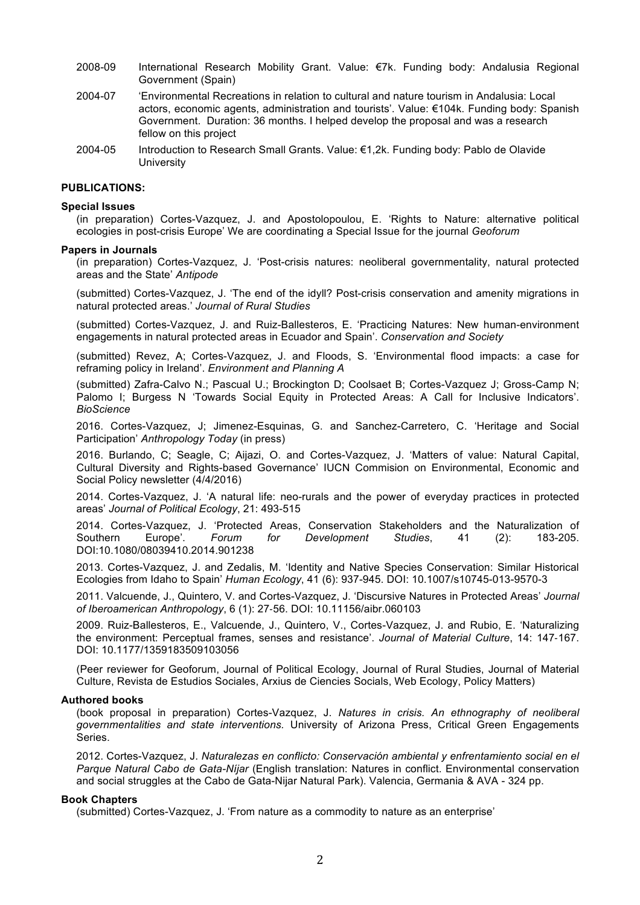- 2008-09 International Research Mobility Grant. Value: €7k. Funding body: Andalusia Regional Government (Spain)
- 2004-07 'Environmental Recreations in relation to cultural and nature tourism in Andalusia: Local actors, economic agents, administration and tourists'. Value: €104k. Funding body: Spanish Government. Duration: 36 months. I helped develop the proposal and was a research fellow on this project
- 2004-05 Introduction to Research Small Grants. Value: €1,2k. Funding body: Pablo de Olavide **University**

#### **PUBLICATIONS:**

#### **Special Issues**

(in preparation) Cortes-Vazquez, J. and Apostolopoulou, E. 'Rights to Nature: alternative political ecologies in post-crisis Europe' We are coordinating a Special Issue for the journal *Geoforum*

#### **Papers in Journals**

(in preparation) Cortes-Vazquez, J. 'Post-crisis natures: neoliberal governmentality, natural protected areas and the State' *Antipode*

(submitted) Cortes-Vazquez, J. 'The end of the idyll? Post-crisis conservation and amenity migrations in natural protected areas.' *Journal of Rural Studies*

(submitted) Cortes-Vazquez, J. and Ruiz-Ballesteros, E. 'Practicing Natures: New human-environment engagements in natural protected areas in Ecuador and Spain'. *Conservation and Society*

(submitted) Revez, A; Cortes-Vazquez, J. and Floods, S. 'Environmental flood impacts: a case for reframing policy in Ireland'. *Environment and Planning A*

(submitted) Zafra-Calvo N.; Pascual U.; Brockington D; Coolsaet B; Cortes-Vazquez J; Gross-Camp N; Palomo I; Burgess N 'Towards Social Equity in Protected Areas: A Call for Inclusive Indicators'. *BioScience*

2016. Cortes-Vazquez, J; Jimenez-Esquinas, G. and Sanchez-Carretero, C. 'Heritage and Social Participation' *Anthropology Today* (in press)

2016. Burlando, C; Seagle, C; Aijazi, O. and Cortes-Vazquez, J. 'Matters of value: Natural Capital, Cultural Diversity and Rights-based Governance' IUCN Commision on Environmental, Economic and Social Policy newsletter (4/4/2016)

2014. Cortes-Vazquez, J. 'A natural life: neo-rurals and the power of everyday practices in protected areas' *Journal of Political Ecology*, 21: 493-515

2014. Cortes-Vazquez, J. 'Protected Areas, Conservation Stakeholders and the Naturalization of Southern Europe'. *Forum for Development Studies*, 41 (2): 183-205. DOI:10.1080/08039410.2014.901238

2013. Cortes-Vazquez, J. and Zedalis, M. 'Identity and Native Species Conservation: Similar Historical Ecologies from Idaho to Spain' *Human Ecology*, 41 (6): 937-945. DOI: 10.1007/s10745-013-9570-3

2011. Valcuende, J., Quintero, V. and Cortes-Vazquez, J. 'Discursive Natures in Protected Areas' *Journal of Iberoamerican Anthropology*, 6 (1): 27-56. DOI: 10.11156/aibr.060103

2009. Ruiz-Ballesteros, E., Valcuende, J., Quintero, V., Cortes-Vazquez, J. and Rubio, E. 'Naturalizing the environment: Perceptual frames, senses and resistance'. *Journal of Material Culture*, 14: 147-167. DOI: 10.1177/1359183509103056

(Peer reviewer for Geoforum, Journal of Political Ecology, Journal of Rural Studies, Journal of Material Culture, Revista de Estudios Sociales, Arxius de Ciencies Socials, Web Ecology, Policy Matters)

#### **Authored books**

(book proposal in preparation) Cortes-Vazquez, J. *Natures in crisis. An ethnography of neoliberal governmentalities and state interventions.* University of Arizona Press, Critical Green Engagements Series.

2012. Cortes-Vazquez, J. *Naturalezas en conflicto: Conservación ambiental y enfrentamiento social en el Parque Natural Cabo de Gata-Níjar* (English translation: Natures in conflict. Environmental conservation and social struggles at the Cabo de Gata-Nijar Natural Park). Valencia, Germania & AVA - 324 pp.

# **Book Chapters**

(submitted) Cortes-Vazquez, J. 'From nature as a commodity to nature as an enterprise'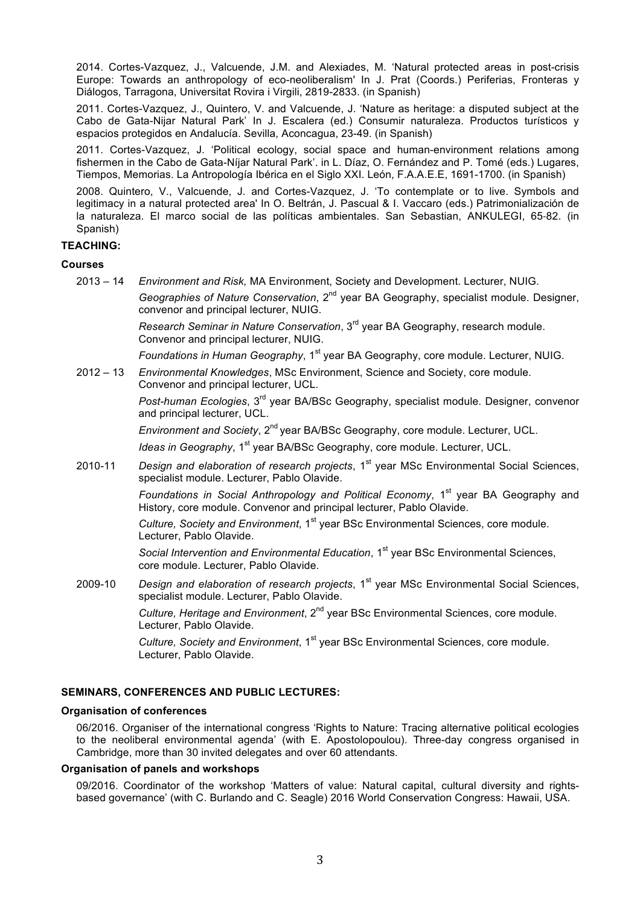2014. Cortes-Vazquez, J., Valcuende, J.M. and Alexiades, M. 'Natural protected areas in post-crisis Europe: Towards an anthropology of eco-neoliberalism' In J. Prat (Coords.) Periferias, Fronteras y Diálogos, Tarragona, Universitat Rovira i Virgili, 2819-2833. (in Spanish)

2011. Cortes-Vazquez, J., Quintero, V. and Valcuende, J. 'Nature as heritage: a disputed subject at the Cabo de Gata-Nijar Natural Park' In J. Escalera (ed.) Consumir naturaleza. Productos turísticos y espacios protegidos en Andalucía. Sevilla, Aconcagua, 23-49. (in Spanish)

2011. Cortes-Vazquez, J. 'Political ecology, social space and human-environment relations among fishermen in the Cabo de Gata-Níjar Natural Park'. in L. Díaz, O. Fernández and P. Tomé (eds.) Lugares, Tiempos, Memorias. La Antropología Ibérica en el Siglo XXI. León, F.A.A.E.E, 1691-1700. (in Spanish)

2008. Quintero, V., Valcuende, J. and Cortes-Vazquez, J. 'To contemplate or to live. Symbols and legitimacy in a natural protected area' In O. Beltrán, J. Pascual & I. Vaccaro (eds.) Patrimonialización de la naturaleza. El marco social de las políticas ambientales. San Sebastian, ANKULEGI, 65‐82. (in Spanish)

# **TEACHING:**

## **Courses**

2013 – 14 *Environment and Risk,* MA Environment, Society and Development. Lecturer, NUIG.

*Geographies of Nature Conservation*, 2<sup>nd</sup> year BA Geography, specialist module. Designer, convenor and principal lecturer, NUIG.

*Research Seminar in Nature Conservation*, 3rd year BA Geography, research module. Convenor and principal lecturer, NUIG.

*Foundations in Human Geography*, 1<sup>st</sup> year BA Geography, core module. Lecturer, NUIG.

2012 – 13 *Environmental Knowledges*, MSc Environment, Science and Society, core module. Convenor and principal lecturer, UCL.

> *Post-human Ecologies*, 3rd year BA/BSc Geography, specialist module. Designer, convenor and principal lecturer, UCL.

*Environment and Society*, 2<sup>nd</sup> year BA/BSc Geography, core module. Lecturer, UCL.

*Ideas in Geography*, 1<sup>st</sup> year BA/BSc Geography, core module. Lecturer, UCL.

2010-11 *Design and elaboration of research projects*, 1<sup>st</sup> year MSc Environmental Social Sciences, specialist module. Lecturer, Pablo Olavide.

> *Foundations in Social Anthropology and Political Economy*, 1<sup>st</sup> year BA Geography and History, core module. Convenor and principal lecturer, Pablo Olavide.

*Culture, Society and Environment*, 1<sup>st</sup> year BSc Environmental Sciences, core module. Lecturer, Pablo Olavide.

*Social Intervention and Environmental Education*, 1<sup>st</sup> year BSc Environmental Sciences, core module. Lecturer, Pablo Olavide.

2009-10 *Design and elaboration of research projects*, 1<sup>st</sup> year MSc Environmental Social Sciences, specialist module. Lecturer, Pablo Olavide.

*Culture. Heritage and Environment*, 2<sup>nd</sup> vear BSc Environmental Sciences, core module. Lecturer, Pablo Olavide.

*Culture, Society and Environment*, 1<sup>st</sup> year BSc Environmental Sciences, core module. Lecturer, Pablo Olavide.

# **SEMINARS, CONFERENCES AND PUBLIC LECTURES:**

#### **Organisation of conferences**

06/2016. Organiser of the international congress 'Rights to Nature: Tracing alternative political ecologies to the neoliberal environmental agenda' (with E. Apostolopoulou). Three-day congress organised in Cambridge, more than 30 invited delegates and over 60 attendants.

## **Organisation of panels and workshops**

09/2016. Coordinator of the workshop 'Matters of value: Natural capital, cultural diversity and rightsbased governance' (with C. Burlando and C. Seagle) 2016 World Conservation Congress: Hawaii, USA.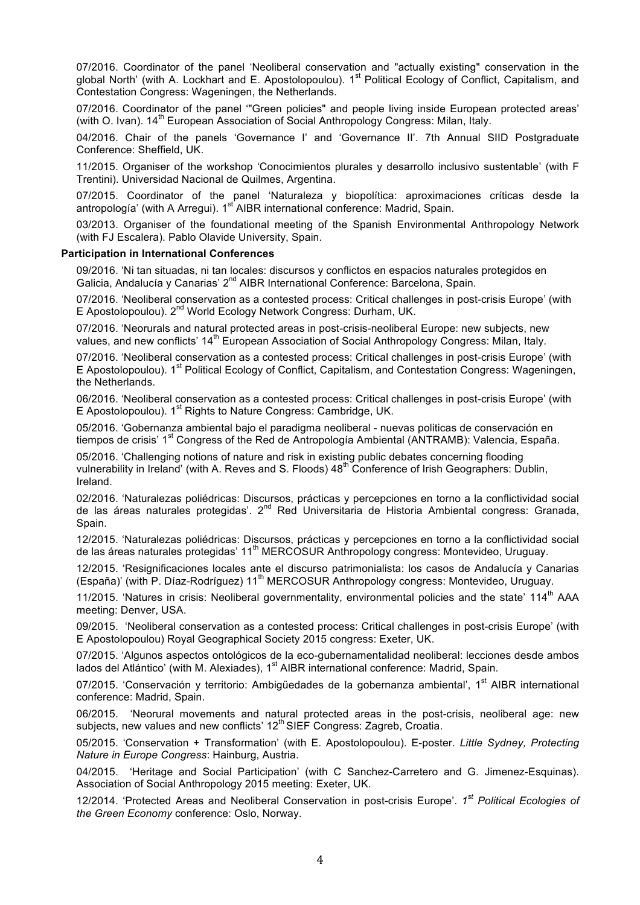07/2016. Coordinator of the panel 'Neoliberal conservation and "actually existing" conservation in the global North' (with A. Lockhart and E. Apostolopoulou). 1<sup>st</sup> Political Ecology of Conflict, Capitalism, and Contestation Congress: Wageningen, the Netherlands.

07/2016. Coordinator of the panel '"Green policies" and people living inside European protected areas' (with O. Ivan).  $14^{th}$  European Association of Social Anthropology Congress: Milan, Italy.

04/2016. Chair of the panels 'Governance I' and 'Governance II'. 7th Annual SIID Postgraduate Conference: Sheffield, UK.

11/2015. Organiser of the workshop 'Conocimientos plurales y desarrollo inclusivo sustentable' (with F Trentini). Universidad Nacional de Quilmes, Argentina.

07/2015. Coordinator of the panel 'Naturaleza y biopolítica: aproximaciones críticas desde la antropología' (with A Arregui). 1<sup>st</sup> AIBR international conference: Madrid, Spain.

03/2013. Organiser of the foundational meeting of the Spanish Environmental Anthropology Network (with FJ Escalera). Pablo Olavide University, Spain.

#### **Participation in International Conferences**

09/2016. 'Ni tan situadas, ni tan locales: discursos y conflictos en espacios naturales protegidos en Galicia, Andalucía y Canarias' 2<sup>nd</sup> AIBR International Conference: Barcelona, Spain.

07/2016. 'Neoliberal conservation as a contested process: Critical challenges in post-crisis Europe' (with E Apostolopoulou). 2<sup>nd</sup> World Ecology Network Congress: Durham, UK.

07/2016. 'Neorurals and natural protected areas in post-crisis-neoliberal Europe: new subjects, new values, and new conflicts' 14<sup>th</sup> European Association of Social Anthropology Congress: Milan, Italy.

07/2016. 'Neoliberal conservation as a contested process: Critical challenges in post-crisis Europe' (with E Apostolopoulou). 1<sup>st</sup> Political Ecology of Conflict, Capitalism, and Contestation Congress: Wageningen, the Netherlands.

06/2016. 'Neoliberal conservation as a contested process: Critical challenges in post-crisis Europe' (with E Apostolopoulou). 1<sup>st</sup> Rights to Nature Congress: Cambridge, UK.

05/2016. 'Gobernanza ambiental bajo el paradigma neoliberal - nuevas politicas de conservación en tiempos de crisis' 1<sup>st</sup> Congress of the Red de Antropología Ambiental (ANTRAMB): Valencia, España.

05/2016. 'Challenging notions of nature and risk in existing public debates concerning flooding vulnerability in Ireland' (with A. Reves and S. Floods) 48<sup>th</sup> Conference of Irish Geographers: Dublin, Ireland.

02/2016. 'Naturalezas poliédricas: Discursos, prácticas y percepciones en torno a la conflictividad social de las áreas naturales protegidas'. 2<sup>nd</sup> Red Universitaria de Historia Ambiental congress: Granada, Spain.

12/2015. 'Naturalezas poliédricas: Discursos, prácticas y percepciones en torno a la conflictividad social de las áreas naturales protegidas' 11<sup>th</sup> MERCOSUR Anthropology congress: Montevideo, Uruguay.

12/2015. 'Resignificaciones locales ante el discurso patrimonialista: los casos de Andalucía y Canarias (España)' (with P. Díaz-Rodríguez) 11<sup>th</sup> MERCOSUR Anthropology congress: Montevideo, Uruguay.

11/2015. 'Natures in crisis: Neoliberal governmentality, environmental policies and the state' 114<sup>th</sup> AAA meeting: Denver, USA.

09/2015. 'Neoliberal conservation as a contested process: Critical challenges in post-crisis Europe' (with E Apostolopoulou) Royal Geographical Society 2015 congress: Exeter, UK.

07/2015. 'Algunos aspectos ontológicos de la eco-gubernamentalidad neoliberal: lecciones desde ambos lados del Atlántico' (with M. Alexiades), 1<sup>st</sup> AIBR international conference: Madrid, Spain.

07/2015. 'Conservación y territorio: Ambigüedades de la gobernanza ambiental', 1<sup>st</sup> AIBR international conference: Madrid, Spain.

06/2015. 'Neorural movements and natural protected areas in the post-crisis, neoliberal age: new subjects, new values and new conflicts' 12<sup>th</sup> SIEF Congress: Zagreb, Croatia.

05/2015. 'Conservation + Transformation' (with E. Apostolopoulou). E-poster. *Little Sydney, Protecting Nature in Europe Congress*: Hainburg, Austria.

04/2015. 'Heritage and Social Participation' (with C Sanchez-Carretero and G. Jimenez-Esquinas). Association of Social Anthropology 2015 meeting: Exeter, UK.

12/2014. 'Protected Areas and Neoliberal Conservation in post-crisis Europe'. *1st Political Ecologies of the Green Economy* conference: Oslo, Norway.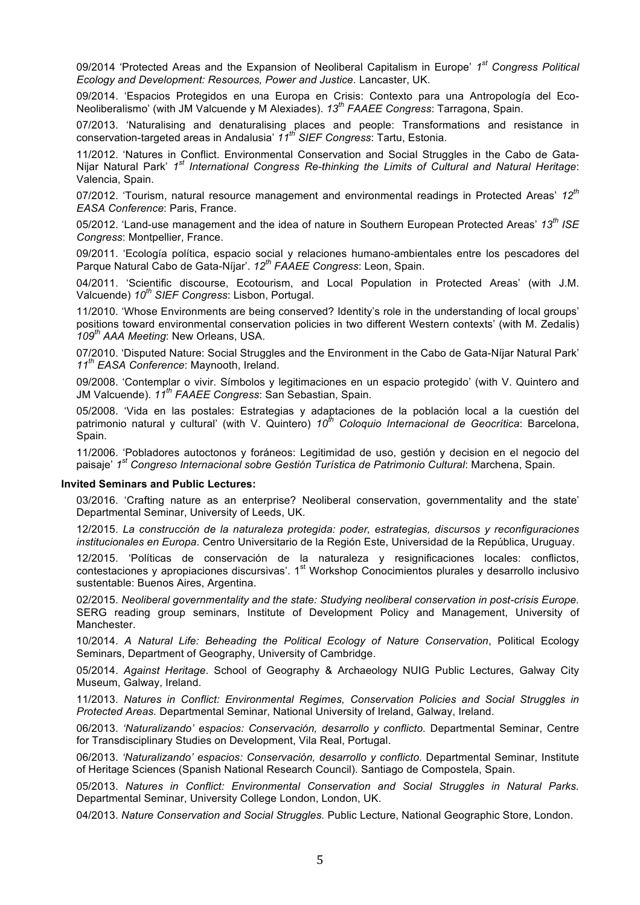09/2014 'Protected Areas and the Expansion of Neoliberal Capitalism in Europe' *1st Congress Political Ecology and Development: Resources, Power and Justice.* Lancaster, UK.

09/2014. 'Espacios Protegidos en una Europa en Crisis: Contexto para una Antropología del Eco-Neoliberalismo' (with JM Valcuende y M Alexiades). *13th FAAEE Congress*: Tarragona, Spain.

07/2013. 'Naturalising and denaturalising places and people: Transformations and resistance in conservation-targeted areas in Andalusia' *11th SIEF Congress*: Tartu, Estonia.

11/2012. 'Natures in Conflict. Environmental Conservation and Social Struggles in the Cabo de Gata-Nijar Natural Park' *1st International Congress Re-thinking the Limits of Cultural and Natural Heritage*: Valencia, Spain.

07/2012. 'Tourism, natural resource management and environmental readings in Protected Areas' *12th EASA Conference*: Paris, France.

05/2012. 'Land-use management and the idea of nature in Southern European Protected Areas' *13th ISE Congress*: Montpellier, France.

09/2011. 'Ecología política, espacio social y relaciones humano-ambientales entre los pescadores del Parque Natural Cabo de Gata-Níjar'. *12th FAAEE Congress*: Leon, Spain.

04/2011. 'Scientific discourse, Ecotourism, and Local Population in Protected Areas' (with J.M. Valcuende) *10th SIEF Congress*: Lisbon, Portugal.

11/2010. 'Whose Environments are being conserved? Identity's role in the understanding of local groups' positions toward environmental conservation policies in two different Western contexts' (with M. Zedalis) *109th AAA Meeting*: New Orleans, USA.

07/2010. 'Disputed Nature: Social Struggles and the Environment in the Cabo de Gata-Níjar Natural Park' *11th EASA Conference*: Maynooth, Ireland.

09/2008. 'Contemplar o vivir. Símbolos y legitimaciones en un espacio protegido' (with V. Quintero and JM Valcuende). *11th FAAEE Congress*: San Sebastian, Spain.

05/2008. 'Vida en las postales: Estrategias y adaptaciones de la población local a la cuestión del patrimonio natural y cultural' (with V. Quintero) *10th Coloquio Internacional de Geocrítica*: Barcelona, Spain.

11/2006. 'Pobladores autoctonos y foráneos: Legitimidad de uso, gestión y decision en el negocio del paisaje' *1st Congreso Internacional sobre Gestión Turística de Patrimonio Cultural*: Marchena, Spain.

#### **Invited Seminars and Public Lectures:**

03/2016. 'Crafting nature as an enterprise? Neoliberal conservation, governmentality and the state' Departmental Seminar, University of Leeds, UK.

12/2015. *La construcción de la naturaleza protegida: poder, estrategias, discursos y reconfiguraciones institucionales en Europa*. Centro Universitario de la Región Este, Universidad de la República, Uruguay.

12/2015. 'Políticas de conservación de la naturaleza y resignificaciones locales: conflictos, contestaciones y apropiaciones discursivas'. 1<sup>st</sup> Workshop Conocimientos plurales y desarrollo inclusivo sustentable: Buenos Aires, Argentina.

02/2015. *Neoliberal governmentality and the state: Studying neoliberal conservation in post-crisis Europe.* SERG reading group seminars, Institute of Development Policy and Management, University of Manchester.

10/2014. *A Natural Life: Beheading the Political Ecology of Nature Conservation*, Political Ecology Seminars, Department of Geography, University of Cambridge.

05/2014. *Against Heritage*. School of Geography & Archaeology NUIG Public Lectures, Galway City Museum, Galway, Ireland.

11/2013. *Natures in Conflict: Environmental Regimes, Conservation Policies and Social Struggles in Protected Areas.* Departmental Seminar, National University of Ireland, Galway, Ireland.

06/2013. *'Naturalizando' espacios: Conservación, desarrollo y conflicto.* Departmental Seminar, Centre for Transdisciplinary Studies on Development, Vila Real, Portugal.

06/2013. *'Naturalizando' espacios: Conservación, desarrollo y conflicto.* Departmental Seminar, Institute of Heritage Sciences (Spanish National Research Council). Santiago de Compostela, Spain.

05/2013. *Natures in Conflict: Environmental Conservation and Social Struggles in Natural Parks.* Departmental Seminar, University College London, London, UK.

04/2013. *Nature Conservation and Social Struggles.* Public Lecture, National Geographic Store, London.